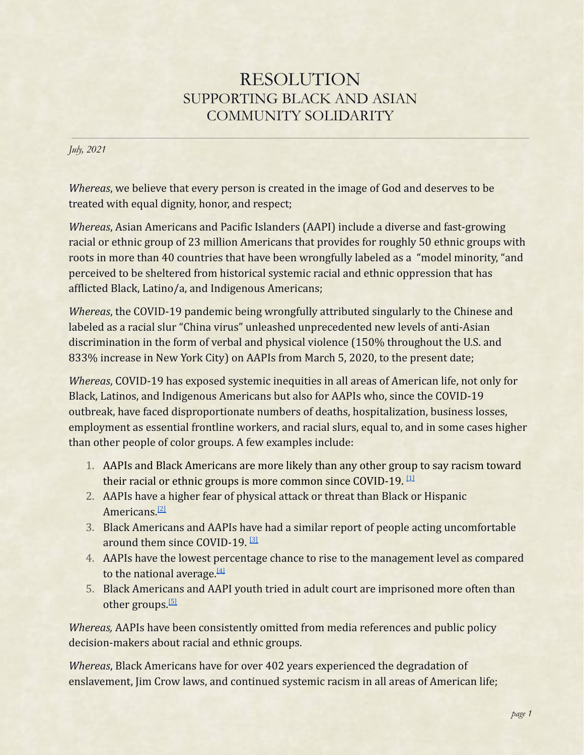## RESOLUTION SUPPORTING BLACK AND ASIAN COMMUNITY SOLIDARITY

*July, 2021*

*Whereas*, we believe that every person is created in the image of God and deserves to be treated with equal dignity, honor, and respect;

*Whereas*, Asian Americans and Pacific Islanders (AAPI) include a diverse and fast-growing racial or ethnic group of 23 million Americans that provides for roughly 50 ethnic groups with roots in more than 40 countries that have been wrongfully labeled as a "model minority, "and perceived to be sheltered from historical systemic racial and ethnic oppression that has afflicted Black, Latino/a, and Indigenous Americans;

*Whereas*, the COVID-19 pandemic being wrongfully attributed singularly to the Chinese and labeled as a racial slur "China virus" unleashed unprecedented new levels of anti-Asian discrimination in the form of verbal and physical violence (150% throughout the U.S. and 833% increase in New York City) on AAPIs from March 5, 2020, to the present date;

*Whereas*, COVID-19 has exposed systemic inequities in all areas of American life, not only for Black, Latinos, and Indigenous Americans but also for AAPIs who, since the COVID-19 outbreak, have faced disproportionate numbers of deaths, hospitalization, business losses, employment as essential frontline workers, and racial slurs, equal to, and in some cases higher than other people of color groups. A few examples include:

- 1. AAPIs and Black Americans are more likely than any other group to say racism toward their racial or ethnic groups is more common since COVID-19. [\[1\]](#page-2-0)
- 2. AAPIs have a higher fear of physical attack or threat than Black or Hispanic Americans<sup>[\[2\]](#page-2-0)</sup>
- 3. Black Americans and AAPIs have had a similar report of people acting uncomfortable around them since COVID-19. [\[3\]](#page-2-0)
- 4. AAPIs have the lowest percentage chance to rise to the management level as compared to the national average.<sup>[\[4\]](#page-2-0)</sup>
- 5. Black Americans and AAPI youth tried in adult court are imprisoned more often than other groups.<sup>[\[5\]](#page-2-0)</sup>

*Whereas,* AAPIs have been consistently omitted from media references and public policy decision-makers about racial and ethnic groups.

*Whereas*, Black Americans have for over 402 years experienced the degradation of enslavement, Jim Crow laws, and continued systemic racism in all areas of American life;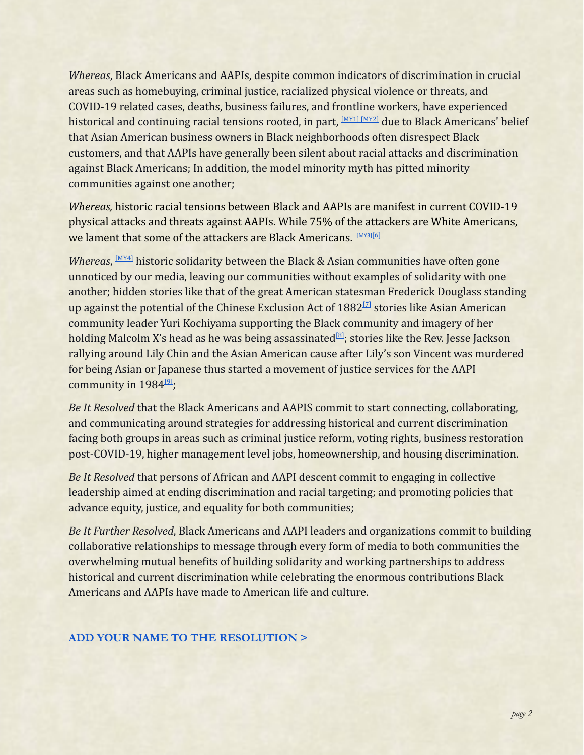*Whereas*, Black Americans and AAPIs, despite common indicators of discrimination in crucial areas such as homebuying, criminal justice, racialized physical violence or threats, and COVID-19 related cases, deaths, business failures, and frontline workers, have experienced historical and continuing racial tensions rooted, in part, <sup>[\[MY1\]](#page-2-1) [MY2]</sup> due to Black Americans' belief that Asian American business owners in Black neighborhoods often disrespect Black customers, and that AAPIs have generally been silent about racial attacks and discrimination against Black Americans; In addition, the model minority myth has pitted minority communities against one another;

*Whereas,* historic racial tensions between Black and AAPIs are manifest in current COVID-19 physical attacks and threats against AAPIs. While 75% of the attackers are White Americans, we lament that some of the attackers are Black Americans. [\[MY3\]](#page-2-1)[\[6\]](#page-2-0)

*Whereas*, <sup>[\[MY4\]](#page-2-1)</sup> historic solidarity between the Black & Asian communities have often gone unnoticed by our media, leaving our communities without examples of solidarity with one another; hidden stories like that of the great American statesman Frederick Douglass standing up against the potential of the Chinese Exclusion Act of  $1882^{[7]}$  $1882^{[7]}$  $1882^{[7]}$  stories like Asian American community leader Yuri Kochiyama supporting the Black community and imagery of her holding Malcolm X's head as he was being assassinated<sup>[\[8\]](#page-2-0)</sup>; stories like the Rev. Jesse Jackson rallying around Lily Chin and the Asian American cause after Lily's son Vincent was murdered for being Asian or Japanese thus started a movement of justice services for the AAPI community in 1984<sup>[\[9\]](#page-2-0)</sup>;

*Be It Resolved* that the Black Americans and AAPIS commit to start connecting, collaborating, and communicating around strategies for addressing historical and current discrimination facing both groups in areas such as criminal justice reform, voting rights, business restoration post-COVID-19, higher management level jobs, homeownership, and housing discrimination.

*Be It Resolved* that persons of African and AAPI descent commit to engaging in collective leadership aimed at ending discrimination and racial targeting; and promoting policies that advance equity, justice, and equality for both communities;

*Be It Further Resolved*, Black Americans and AAPI leaders and organizations commit to building collaborative relationships to message through every form of media to both communities the overwhelming mutual benefits of building solidarity and working partnerships to address historical and current discrimination while celebrating the enormous contributions Black Americans and AAPIs have made to American life and culture.

## **[ADD YOUR NAME TO THE RESOLUTION >](https://forms.gle/WjBHFMsY5Y6GA7dw8)**